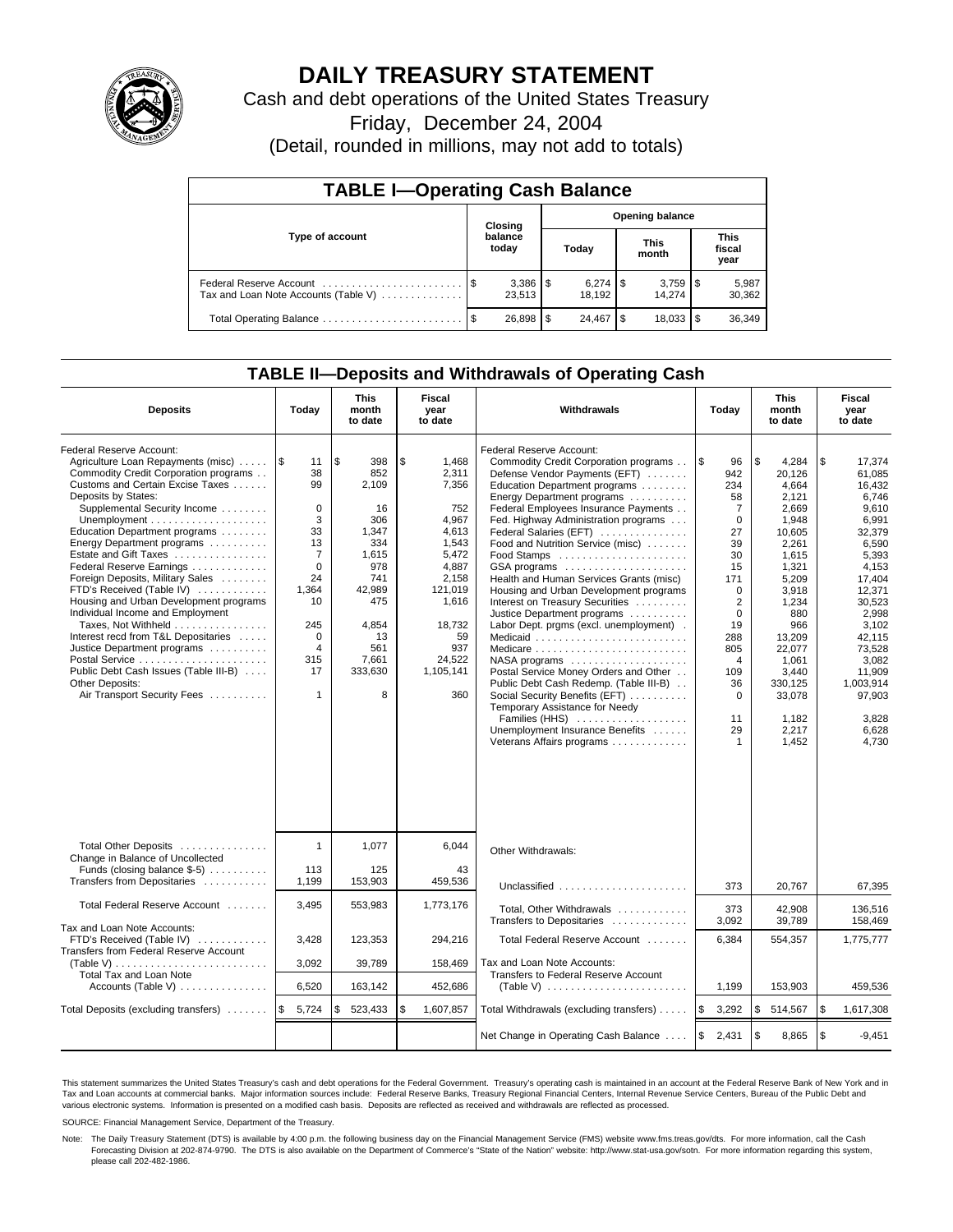

# **DAILY TREASURY STATEMENT**

Cash and debt operations of the United States Treasury

Friday, December 24, 2004

(Detail, rounded in millions, may not add to totals)

| <b>TABLE I-Operating Cash Balance</b> |      |                  |   |                        |     |                      |                               |                 |  |  |
|---------------------------------------|------|------------------|---|------------------------|-----|----------------------|-------------------------------|-----------------|--|--|
| Type of account                       |      | Closing          |   | <b>Opening balance</b> |     |                      |                               |                 |  |  |
|                                       |      | balance<br>today |   | Today                  |     | <b>This</b><br>month | <b>This</b><br>fiscal<br>year |                 |  |  |
| Tax and Loan Note Accounts (Table V)  |      | 23,513           |   | $6.274$ S<br>18.192    |     | 14.274               |                               | 5,987<br>30,362 |  |  |
| Total Operating Balance               | - \$ | 26,898           | S | 24.467                 | \$. | 18,033               |                               | 36,349          |  |  |

## **TABLE II—Deposits and Withdrawals of Operating Cash**

| <b>Deposits</b>                                                                                                                                                                                                                                                                                                                                                                                                                                                                                                                                                                                                                                               | Today                                                                                                                                                                             | <b>This</b><br>month<br>to date                                                                                                                 | Fiscal<br>Withdrawals<br>year<br>to date                                                                                                                            |                                                                                                                                                                                                                                                                                                                                                                                                                                                                                                                                                                                                                                                                                                                                                                                                          | Today                                                                                                                                                                                                                       | <b>This</b><br>month<br>to date                                                                                                                                                                                               | Fiscal<br>year<br>to date                                                                                                                                                                                                                 |
|---------------------------------------------------------------------------------------------------------------------------------------------------------------------------------------------------------------------------------------------------------------------------------------------------------------------------------------------------------------------------------------------------------------------------------------------------------------------------------------------------------------------------------------------------------------------------------------------------------------------------------------------------------------|-----------------------------------------------------------------------------------------------------------------------------------------------------------------------------------|-------------------------------------------------------------------------------------------------------------------------------------------------|---------------------------------------------------------------------------------------------------------------------------------------------------------------------|----------------------------------------------------------------------------------------------------------------------------------------------------------------------------------------------------------------------------------------------------------------------------------------------------------------------------------------------------------------------------------------------------------------------------------------------------------------------------------------------------------------------------------------------------------------------------------------------------------------------------------------------------------------------------------------------------------------------------------------------------------------------------------------------------------|-----------------------------------------------------------------------------------------------------------------------------------------------------------------------------------------------------------------------------|-------------------------------------------------------------------------------------------------------------------------------------------------------------------------------------------------------------------------------|-------------------------------------------------------------------------------------------------------------------------------------------------------------------------------------------------------------------------------------------|
| Federal Reserve Account:<br>Agriculture Loan Repayments (misc)<br>Commodity Credit Corporation programs<br>Customs and Certain Excise Taxes<br>Deposits by States:<br>Supplemental Security Income<br>Education Department programs<br>Energy Department programs<br>Estate and Gift Taxes<br>Federal Reserve Earnings<br>Foreign Deposits, Military Sales<br>FTD's Received (Table IV)<br>Housing and Urban Development programs<br>Individual Income and Employment<br>Taxes, Not Withheld<br>Interest recd from T&L Depositaries<br>Justice Department programs<br>Public Debt Cash Issues (Table III-B)<br>Other Deposits:<br>Air Transport Security Fees | 1\$<br>11<br>38<br>99<br>$\mathbf 0$<br>3<br>33<br>13<br>$\overline{7}$<br>$\mathbf{0}$<br>24<br>1.364<br>10<br>245<br>$\mathbf 0$<br>$\overline{4}$<br>315<br>17<br>$\mathbf{1}$ | l \$<br>398<br>852<br>2,109<br>16<br>306<br>1,347<br>334<br>1,615<br>978<br>741<br>42.989<br>475<br>4,854<br>13<br>561<br>7,661<br>333,630<br>8 | \$<br>1,468<br>2,311<br>7,356<br>752<br>4.967<br>4,613<br>1,543<br>5,472<br>4,887<br>2.158<br>121.019<br>1,616<br>18,732<br>59<br>937<br>24,522<br>1.105.141<br>360 | Federal Reserve Account:<br>Commodity Credit Corporation programs<br>Defense Vendor Payments (EFT)<br>Education Department programs<br>Energy Department programs<br>Federal Employees Insurance Payments<br>Fed. Highway Administration programs<br>Federal Salaries (EFT)<br>Food and Nutrition Service (misc)<br>GSA programs<br>Health and Human Services Grants (misc)<br>Housing and Urban Development programs<br>Interest on Treasury Securities<br>Justice Department programs<br>Labor Dept. prgms (excl. unemployment).<br>Medicaid<br>NASA programs<br>Postal Service Money Orders and Other<br>Public Debt Cash Redemp. (Table III-B)<br>Social Security Benefits (EFT)<br>Temporary Assistance for Needy<br>Families (HHS)<br>Unemployment Insurance Benefits<br>Veterans Affairs programs | ا \$<br>96<br>942<br>234<br>58<br>$\overline{7}$<br>$\mathbf 0$<br>27<br>39<br>30<br>15<br>171<br>$\Omega$<br>$\overline{2}$<br>$\mathbf 0$<br>19<br>288<br>805<br>$\overline{4}$<br>109<br>36<br>$\Omega$<br>11<br>29<br>1 | \$<br>4,284<br>20,126<br>4.664<br>2.121<br>2.669<br>1,948<br>10,605<br>2,261<br>1,615<br>1,321<br>5,209<br>3.918<br>1,234<br>880<br>966<br>13,209<br>22,077<br>1,061<br>3.440<br>330,125<br>33,078<br>1,182<br>2,217<br>1,452 | \$<br>17,374<br>61,085<br>16.432<br>6.746<br>9.610<br>6,991<br>32,379<br>6,590<br>5,393<br>4,153<br>17.404<br>12.371<br>30,523<br>2,998<br>3.102<br>42,115<br>73,528<br>3,082<br>11.909<br>1.003.914<br>97,903<br>3,828<br>6,628<br>4,730 |
| Total Other Deposits<br>Change in Balance of Uncollected<br>Funds (closing balance \$-5)<br>Transfers from Depositaries<br>Total Federal Reserve Account<br>Tax and Loan Note Accounts:                                                                                                                                                                                                                                                                                                                                                                                                                                                                       | $\mathbf{1}$<br>113<br>1,199<br>3,495                                                                                                                                             | 1,077<br>125<br>153,903<br>553,983                                                                                                              | 6,044<br>43<br>459.536<br>1,773,176                                                                                                                                 | Other Withdrawals:<br>Unclassified<br>Total, Other Withdrawals<br>Transfers to Depositaries                                                                                                                                                                                                                                                                                                                                                                                                                                                                                                                                                                                                                                                                                                              | 373<br>373<br>3,092                                                                                                                                                                                                         | 20,767<br>42.908<br>39,789                                                                                                                                                                                                    | 67,395<br>136.516<br>158.469                                                                                                                                                                                                              |
| FTD's Received (Table IV)<br><b>Transfers from Federal Reserve Account</b><br>(Table V)                                                                                                                                                                                                                                                                                                                                                                                                                                                                                                                                                                       | 3,428<br>3,092                                                                                                                                                                    | 123,353<br>39,789                                                                                                                               | 294,216<br>158,469                                                                                                                                                  | Total Federal Reserve Account<br>Tax and Loan Note Accounts:                                                                                                                                                                                                                                                                                                                                                                                                                                                                                                                                                                                                                                                                                                                                             | 6,384                                                                                                                                                                                                                       | 554,357                                                                                                                                                                                                                       | 1,775,777                                                                                                                                                                                                                                 |
| Total Tax and Loan Note<br>Accounts (Table V)                                                                                                                                                                                                                                                                                                                                                                                                                                                                                                                                                                                                                 | 6,520                                                                                                                                                                             | 163,142                                                                                                                                         | 452,686                                                                                                                                                             | Transfers to Federal Reserve Account                                                                                                                                                                                                                                                                                                                                                                                                                                                                                                                                                                                                                                                                                                                                                                     | 1,199                                                                                                                                                                                                                       | 153,903                                                                                                                                                                                                                       | 459,536                                                                                                                                                                                                                                   |
| Total Deposits (excluding transfers)                                                                                                                                                                                                                                                                                                                                                                                                                                                                                                                                                                                                                          | l \$<br>5,724                                                                                                                                                                     | 523,433<br>\$                                                                                                                                   | \$<br>1,607,857                                                                                                                                                     | Total Withdrawals (excluding transfers)                                                                                                                                                                                                                                                                                                                                                                                                                                                                                                                                                                                                                                                                                                                                                                  | l\$<br>3,292                                                                                                                                                                                                                | \$<br>514,567                                                                                                                                                                                                                 | l \$<br>1,617,308                                                                                                                                                                                                                         |
|                                                                                                                                                                                                                                                                                                                                                                                                                                                                                                                                                                                                                                                               |                                                                                                                                                                                   |                                                                                                                                                 |                                                                                                                                                                     | Net Change in Operating Cash Balance                                                                                                                                                                                                                                                                                                                                                                                                                                                                                                                                                                                                                                                                                                                                                                     | <b>S</b><br>2,431                                                                                                                                                                                                           | \$<br>8,865                                                                                                                                                                                                                   | \$<br>$-9.451$                                                                                                                                                                                                                            |

This statement summarizes the United States Treasury's cash and debt operations for the Federal Government. Treasury's operating cash is maintained in an account at the Federal Reserve Bank of New York and in Tax and Loan accounts at commercial banks. Major information sources include: Federal Reserve Banks, Treasury Regional Financial Centers, Internal Revenue Service Centers, Bureau of the Public Debt and<br>various electronic s

SOURCE: Financial Management Service, Department of the Treasury.

Note: The Daily Treasury Statement (DTS) is available by 4:00 p.m. the following business day on the Financial Management Service (FMS) website www.fms.treas.gov/dts. For more information, call the Cash Forecasting Division at 202-874-9790. The DTS is also available on the Department of Commerce's "State of the Nation" website: http://www.stat-usa.gov/sotn. For more information regarding this system, please call 202-482-1986.